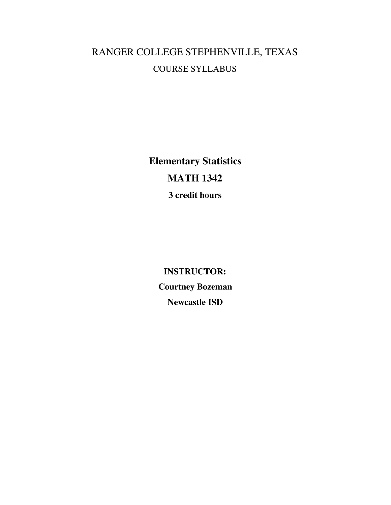# RANGER COLLEGE STEPHENVILLE, TEXAS COURSE SYLLABUS

**Elementary Statistics MATH 1342 3 credit hours**

> **INSTRUCTOR: Courtney Bozeman Newcastle ISD**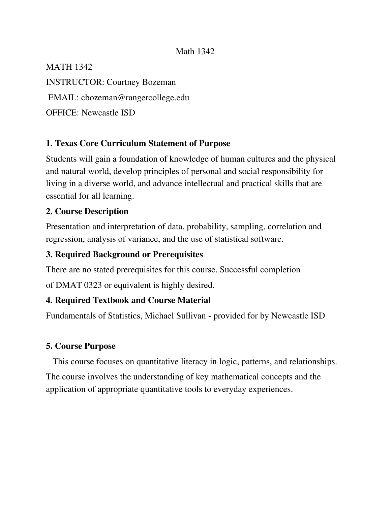#### Math 1342

MATH 1342

INSTRUCTOR: Courtney Bozeman

EMAIL: cbozeman@rangercollege.edu

OFFICE: Newcastle ISD

#### **1. Texas Core Curriculum Statement of Purpose**

Students will gain a foundation of knowledge of human cultures and the physical and natural world, develop principles of personal and social responsibility for living in a diverse world, and advance intellectual and practical skills that are essential for all learning.

#### **2. Course Description**

Presentation and interpretation of data, probability, sampling, correlation and regression, analysis of variance, and the use of statistical software.

#### **3. Required Background or Prerequisites**

There are no stated prerequisites for this course. Successful completion

of DMAT 0323 or equivalent is highly desired.

#### **4. Required Textbook and Course Material**

Fundamentals of Statistics, Michael Sullivan - provided for by Newcastle ISD

#### **5. Course Purpose**

This course focuses on quantitative literacy in logic, patterns, and relationships. The course involves the understanding of key mathematical concepts and the application of appropriate quantitative tools to everyday experiences.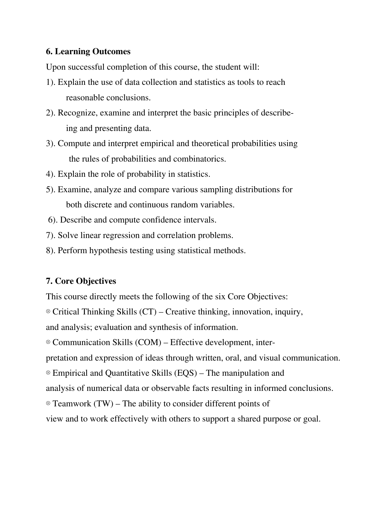#### **6. Learning Outcomes**

Upon successful completion of this course, the student will:

- 1). Explain the use of data collection and statistics as tools to reach reasonable conclusions.
- 2). Recognize, examine and interpret the basic principles of describeing and presenting data.
- 3). Compute and interpret empirical and theoretical probabilities using the rules of probabilities and combinatorics.
- 4). Explain the role of probability in statistics.
- 5). Examine, analyze and compare various sampling distributions for both discrete and continuous random variables.
- 6). Describe and compute confidence intervals.
- 7). Solve linear regression and correlation problems.
- 8). Perform hypothesis testing using statistical methods.

#### **7. Core Objectives**

This course directly meets the following of the six Core Objectives: ⊗ Critical Thinking Skills (CT) – Creative thinking, innovation, inquiry, and analysis; evaluation and synthesis of information. ⊗ Communication Skills (COM) – Effective development, interpretation and expression of ideas through written, oral, and visual communication. ⊗ Empirical and Quantitative Skills (EQS) – The manipulation and analysis of numerical data or observable facts resulting in informed conclusions. ⊗ Teamwork (TW) – The ability to consider different points of view and to work effectively with others to support a shared purpose or goal.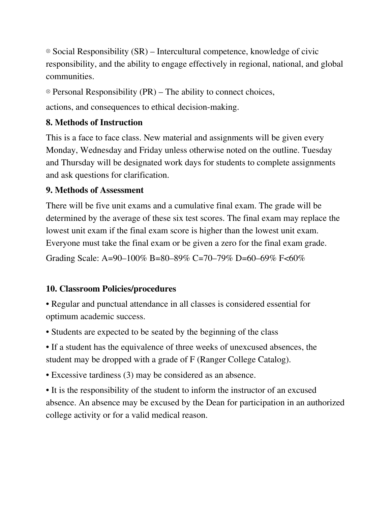⊗ Social Responsibility (SR) – Intercultural competence, knowledge of civic responsibility, and the ability to engage effectively in regional, national, and global communities.

⊗ Personal Responsibility (PR) – The ability to connect choices,

actions, and consequences to ethical decision-making.

# **8. Methods of Instruction**

This is a face to face class. New material and assignments will be given every Monday, Wednesday and Friday unless otherwise noted on the outline. Tuesday and Thursday will be designated work days for students to complete assignments and ask questions for clarification.

## **9. Methods of Assessment**

There will be five unit exams and a cumulative final exam. The grade will be determined by the average of these six test scores. The final exam may replace the lowest unit exam if the final exam score is higher than the lowest unit exam. Everyone must take the final exam or be given a zero for the final exam grade.

Grading Scale: A=90–100% B=80–89% C=70–79% D=60–69% F<60%

# **10. Classroom Policies/procedures**

• Regular and punctual attendance in all classes is considered essential for optimum academic success.

- Students are expected to be seated by the beginning of the class
- If a student has the equivalence of three weeks of unexcused absences, the student may be dropped with a grade of F (Ranger College Catalog).
- Excessive tardiness (3) may be considered as an absence.

• It is the responsibility of the student to inform the instructor of an excused absence. An absence may be excused by the Dean for participation in an authorized college activity or for a valid medical reason.